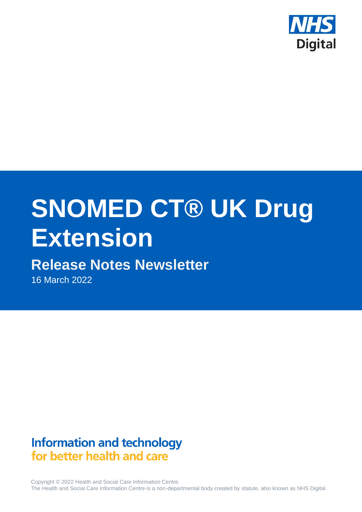

# **SNOMED CT® UK Drug Extension**

# **Release Notes Newsletter**

16 March 2022

# **Information and technology** for better health and care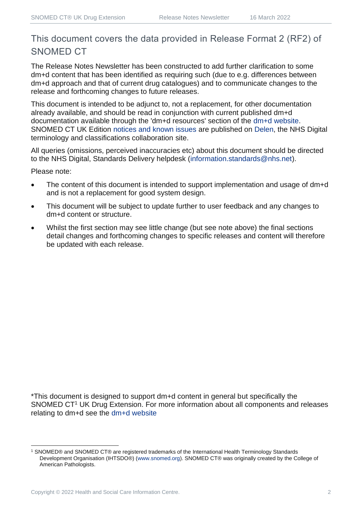## This document covers the data provided in Release Format 2 (RF2) of SNOMED CT

The Release Notes Newsletter has been constructed to add further clarification to some dm+d content that has been identified as requiring such (due to e.g. differences between dm+d approach and that of current drug catalogues) and to communicate changes to the release and forthcoming changes to future releases.

This document is intended to be adjunct to, not a replacement, for other documentation already available, and should be read in conjunction with current published dm+d documentation available through the 'dm+d resources' section of the [dm+d website.](https://www.nhsbsa.nhs.uk/pharmacies-gp-practices-and-appliance-contractors/dictionary-medicines-and-devices-dmd) SNOMED CT UK Edition [notices and known issues](https://hscic.kahootz.com/connect.ti/t_c_home/view?objectId=14224752) are published on [Delen,](https://hscic.kahootz.com/connect.ti/t_c_home) the NHS Digital terminology and classifications collaboration site.

All queries (omissions, perceived inaccuracies etc) about this document should be directed to the NHS Digital, Standards Delivery helpdesk [\(information.standards@nhs.net\)](mailto:information.standards@nhs.net).

Please note:

- The content of this document is intended to support implementation and usage of dm+d and is not a replacement for good system design.
- This document will be subject to update further to user feedback and any changes to dm+d content or structure.
- Whilst the first section may see little change (but see note above) the final sections detail changes and forthcoming changes to specific releases and content will therefore be updated with each release.

\*This document is designed to support dm+d content in general but specifically the SNOMED CT<sup>1</sup> UK Drug Extension. For more information about all components and releases relating to dm+d see the [dm+d website](https://www.nhsbsa.nhs.uk/pharmacies-gp-practices-and-appliance-contractors/dictionary-medicines-and-devices-dmd)

<sup>1</sup> SNOMED® and SNOMED CT® are registered trademarks of the International Health Terminology Standards Development Organisation (IHTSDO®) [\(www.snomed.org\)](http://www.snomed.org/). SNOMED CT® was originally created by the College of American Pathologists.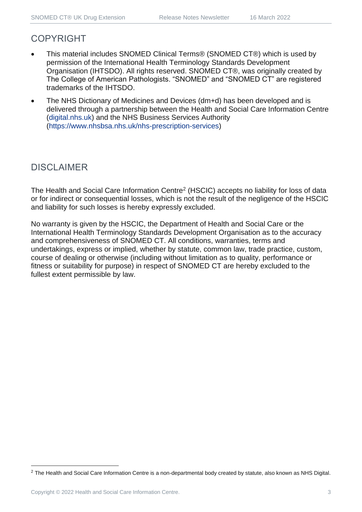## COPYRIGHT

- This material includes SNOMED Clinical Terms® (SNOMED CT®) which is used by permission of the International Health Terminology Standards Development Organisation (IHTSDO). All rights reserved. SNOMED CT®, was originally created by The College of American Pathologists. "SNOMED" and "SNOMED CT" are registered trademarks of the IHTSDO.
- The NHS Dictionary of Medicines and Devices (dm+d) has been developed and is delivered through a partnership between the Health and Social Care Information Centre [\(digital.nhs.uk\)](https://digital.nhs.uk/) and the NHS Business Services Authority [\(https://www.nhsbsa.nhs.uk/nhs-prescription-services\)](https://www.nhsbsa.nhs.uk/nhs-prescription-services)

## DISCLAIMER

The Health and Social Care Information Centre<sup>2</sup> (HSCIC) accepts no liability for loss of data or for indirect or consequential losses, which is not the result of the negligence of the HSCIC and liability for such losses is hereby expressly excluded.

No warranty is given by the HSCIC, the Department of Health and Social Care or the International Health Terminology Standards Development Organisation as to the accuracy and comprehensiveness of SNOMED CT. All conditions, warranties, terms and undertakings, express or implied, whether by statute, common law, trade practice, custom, course of dealing or otherwise (including without limitation as to quality, performance or fitness or suitability for purpose) in respect of SNOMED CT are hereby excluded to the fullest extent permissible by law.

<sup>&</sup>lt;sup>2</sup> The Health and Social Care Information Centre is a non-departmental body created by statute, also known as NHS Digital.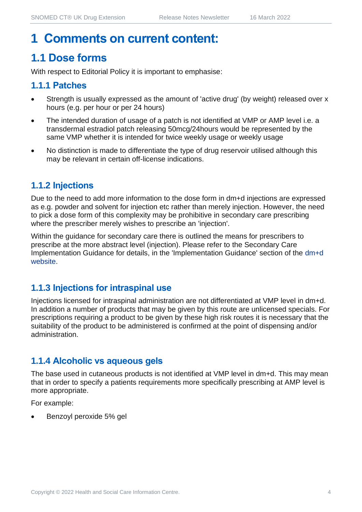## **1 Comments on current content:**

## **1.1 Dose forms**

With respect to Editorial Policy it is important to emphasise:

## **1.1.1 Patches**

- Strength is usually expressed as the amount of 'active drug' (by weight) released over x hours (e.g. per hour or per 24 hours)
- The intended duration of usage of a patch is not identified at VMP or AMP level i.e. a transdermal estradiol patch releasing 50mcg/24hours would be represented by the same VMP whether it is intended for twice weekly usage or weekly usage
- No distinction is made to differentiate the type of drug reservoir utilised although this may be relevant in certain off-license indications.

## **1.1.2 Injections**

Due to the need to add more information to the dose form in dm+d injections are expressed as e.g. powder and solvent for injection etc rather than merely injection. However, the need to pick a dose form of this complexity may be prohibitive in secondary care prescribing where the prescriber merely wishes to prescribe an 'injection'.

Within the guidance for secondary care there is outlined the means for prescribers to prescribe at the more abstract level (injection). Please refer to the Secondary Care Implementation Guidance for details, in the 'Implementation Guidance' section of the [dm+d](https://www.nhsbsa.nhs.uk/pharmacies-gp-practices-and-appliance-contractors/dictionary-medicines-and-devices-dmd)  [website.](https://www.nhsbsa.nhs.uk/pharmacies-gp-practices-and-appliance-contractors/dictionary-medicines-and-devices-dmd)

## **1.1.3 Injections for intraspinal use**

Injections licensed for intraspinal administration are not differentiated at VMP level in dm+d. In addition a number of products that may be given by this route are unlicensed specials. For prescriptions requiring a product to be given by these high risk routes it is necessary that the suitability of the product to be administered is confirmed at the point of dispensing and/or administration.

## **1.1.4 Alcoholic vs aqueous gels**

The base used in cutaneous products is not identified at VMP level in dm+d. This may mean that in order to specify a patients requirements more specifically prescribing at AMP level is more appropriate.

For example:

• Benzoyl peroxide 5% gel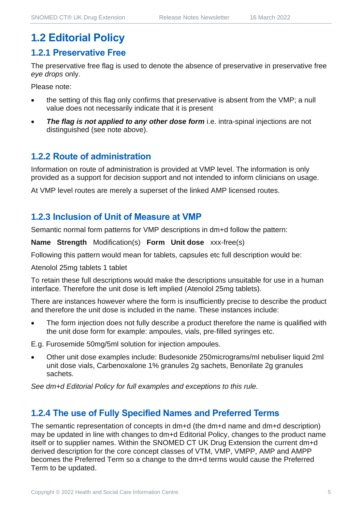## **1.2 Editorial Policy**

#### **1.2.1 Preservative Free**

The preservative free flag is used to denote the absence of preservative in preservative free *eye drops* only.

Please note:

- the setting of this flag only confirms that preservative is absent from the VMP; a null value does not necessarily indicate that it is present
- **The flag is not applied to any other dose form** i.e. intra-spinal injections are not distinguished (see note above).

#### **1.2.2 Route of administration**

Information on route of administration is provided at VMP level. The information is only provided as a support for decision support and not intended to inform clinicians on usage.

At VMP level routes are merely a superset of the linked AMP licensed routes.

#### **1.2.3 Inclusion of Unit of Measure at VMP**

Semantic normal form patterns for VMP descriptions in dm+d follow the pattern:

**Name Strength** Modification(s) **Form Unit dose** xxx-free(s)

Following this pattern would mean for tablets, capsules etc full description would be:

Atenolol 25mg tablets 1 tablet

To retain these full descriptions would make the descriptions unsuitable for use in a human interface. Therefore the unit dose is left implied (Atenolol 25mg tablets).

There are instances however where the form is insufficiently precise to describe the product and therefore the unit dose is included in the name. These instances include:

The form injection does not fully describe a product therefore the name is qualified with the unit dose form for example: ampoules, vials, pre-filled syringes etc.

E.g. Furosemide 50mg/5ml solution for injection ampoules.

• Other unit dose examples include: Budesonide 250micrograms/ml nebuliser liquid 2ml unit dose vials, Carbenoxalone 1% granules 2g sachets, Benorilate 2g granules sachets.

*See dm+d Editorial Policy for full examples and exceptions to this rule.*

## **1.2.4 The use of Fully Specified Names and Preferred Terms**

The semantic representation of concepts in dm+d (the dm+d name and dm+d description) may be updated in line with changes to dm+d Editorial Policy, changes to the product name itself or to supplier names. Within the SNOMED CT UK Drug Extension the current dm+d derived description for the core concept classes of VTM, VMP, VMPP, AMP and AMPP becomes the Preferred Term so a change to the dm+d terms would cause the Preferred Term to be updated.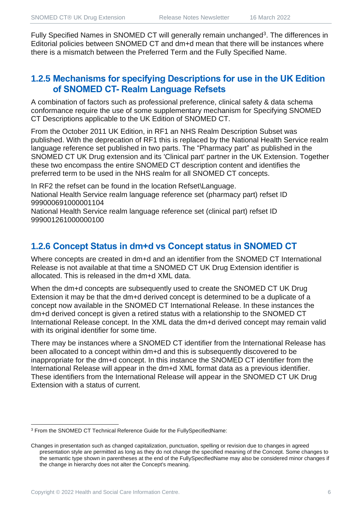Fully Specified Names in SNOMED CT will generally remain unchanged<sup>3</sup>. The differences in Editorial policies between SNOMED CT and dm+d mean that there will be instances where there is a mismatch between the Preferred Term and the Fully Specified Name.

## **1.2.5 Mechanisms for specifying Descriptions for use in the UK Edition of SNOMED CT- Realm Language Refsets**

A combination of factors such as professional preference, clinical safety & data schema conformance require the use of some supplementary mechanism for Specifying SNOMED CT Descriptions applicable to the UK Edition of SNOMED CT.

From the October 2011 UK Edition, in RF1 an NHS Realm Description Subset was published. With the deprecation of RF1 this is replaced by the National Health Service realm language reference set published in two parts. The "Pharmacy part" as published in the SNOMED CT UK Drug extension and its 'Clinical part' partner in the UK Extension. Together these two encompass the entire SNOMED CT description content and identifies the preferred term to be used in the NHS realm for all SNOMED CT concepts.

In RF2 the refset can be found in the location Refset\Language. National Health Service realm language reference set (pharmacy part) refset ID 999000691000001104

National Health Service realm language reference set (clinical part) refset ID 999001261000000100

## **1.2.6 Concept Status in dm+d vs Concept status in SNOMED CT**

Where concepts are created in dm+d and an identifier from the SNOMED CT International Release is not available at that time a SNOMED CT UK Drug Extension identifier is allocated. This is released in the dm+d XML data.

When the dm+d concepts are subsequently used to create the SNOMED CT UK Drug Extension it may be that the dm+d derived concept is determined to be a duplicate of a concept now available in the SNOMED CT International Release. In these instances the dm+d derived concept is given a retired status with a relationship to the SNOMED CT International Release concept. In the XML data the dm+d derived concept may remain valid with its original identifier for some time.

There may be instances where a SNOMED CT identifier from the International Release has been allocated to a concept within dm+d and this is subsequently discovered to be inappropriate for the dm+d concept. In this instance the SNOMED CT identifier from the International Release will appear in the dm+d XML format data as a previous identifier. These identifiers from the International Release will appear in the SNOMED CT UK Drug Extension with a status of current.

<sup>3</sup> From the SNOMED CT Technical Reference Guide for the FullySpecifiedName:

Changes in presentation such as changed capitalization, punctuation, spelling or revision due to changes in agreed presentation style are permitted as long as they do not change the specified meaning of the Concept. Some changes to the semantic type shown in parentheses at the end of the FullySpecifiedName may also be considered minor changes if the change in hierarchy does not alter the Concept's meaning.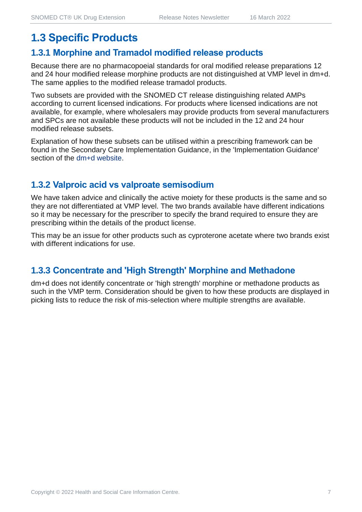## **1.3 Specific Products**

#### **1.3.1 Morphine and Tramadol modified release products**

Because there are no pharmacopoeial standards for oral modified release preparations 12 and 24 hour modified release morphine products are not distinguished at VMP level in dm+d. The same applies to the modified release tramadol products.

Two subsets are provided with the SNOMED CT release distinguishing related AMPs according to current licensed indications. For products where licensed indications are not available, for example, where wholesalers may provide products from several manufacturers and SPCs are not available these products will not be included in the 12 and 24 hour modified release subsets.

Explanation of how these subsets can be utilised within a prescribing framework can be found in the Secondary Care Implementation Guidance, in the 'Implementation Guidance' section of the [dm+d website.](https://www.nhsbsa.nhs.uk/pharmacies-gp-practices-and-appliance-contractors/dictionary-medicines-and-devices-dmd)

## **1.3.2 Valproic acid vs valproate semisodium**

We have taken advice and clinically the active moiety for these products is the same and so they are not differentiated at VMP level. The two brands available have different indications so it may be necessary for the prescriber to specify the brand required to ensure they are prescribing within the details of the product license.

This may be an issue for other products such as cyproterone acetate where two brands exist with different indications for use.

## **1.3.3 Concentrate and 'High Strength' Morphine and Methadone**

dm+d does not identify concentrate or 'high strength' morphine or methadone products as such in the VMP term. Consideration should be given to how these products are displayed in picking lists to reduce the risk of mis-selection where multiple strengths are available.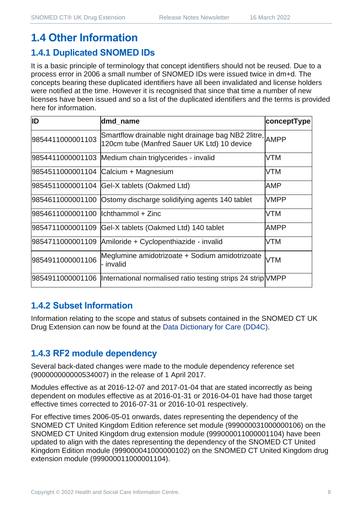## **1.4 Other Information**

## **1.4.1 Duplicated SNOMED IDs**

It is a basic principle of terminology that concept identifiers should not be reused. Due to a process error in 2006 a small number of SNOMED IDs were issued twice in dm+d. The concepts bearing these duplicated identifiers have all been invalidated and license holders were notified at the time. However it is recognised that since that time a number of new licenses have been issued and so a list of the duplicated identifiers and the terms is provided here for information.

| ID                                  | dmd_name                                                                                               | conceptType |
|-------------------------------------|--------------------------------------------------------------------------------------------------------|-------------|
| 9854411000001103                    | Smartflow drainable night drainage bag NB2 2litre, AMPP<br>120cm tube (Manfred Sauer UK Ltd) 10 device |             |
|                                     | 9854411000001103 Medium chain triglycerides - invalid                                                  | <b>VTM</b>  |
|                                     | 9854511000001104 Calcium + Magnesium                                                                   | <b>VTM</b>  |
|                                     | 9854511000001104 Gel-X tablets (Oakmed Ltd)                                                            | AMP         |
|                                     | 9854611000001100 Ostomy discharge solidifying agents 140 tablet                                        | <b>VMPP</b> |
| 9854611000001100  lchthammol + Zinc |                                                                                                        | <b>VTM</b>  |
| 9854711000001109                    | Gel-X tablets (Oakmed Ltd) 140 tablet                                                                  | <b>AMPP</b> |
| 9854711000001109                    | Amiloride + Cyclopenthiazide - invalid                                                                 | <b>VTM</b>  |
| 9854911000001106                    | Meglumine amidotrizoate + Sodium amidotrizoate<br>- invalid                                            | <b>VTM</b>  |
|                                     | 9854911000001106  International normalised ratio testing strips 24 strip VMPP                          |             |

## **1.4.2 Subset Information**

Information relating to the scope and status of subsets contained in the SNOMED CT UK Drug Extension can now be found at the [Data Dictionary for Care \(DD4C\).](https://dd4c.digital.nhs.uk/dd4c/)

## **1.4.3 RF2 module dependency**

Several back-dated changes were made to the module dependency reference set (900000000000534007) in the release of 1 April 2017.

Modules effective as at 2016-12-07 and 2017-01-04 that are stated incorrectly as being dependent on modules effective as at 2016-01-31 or 2016-04-01 have had those target effective times corrected to 2016-07-31 or 2016-10-01 respectively.

For effective times 2006-05-01 onwards, dates representing the dependency of the SNOMED CT United Kingdom Edition reference set module (999000031000000106) on the SNOMED CT United Kingdom drug extension module (999000011000001104) have been updated to align with the dates representing the dependency of the SNOMED CT United Kingdom Edition module (999000041000000102) on the SNOMED CT United Kingdom drug extension module (999000011000001104).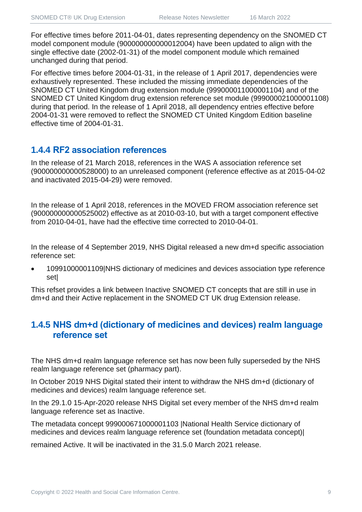For effective times before 2011-04-01, dates representing dependency on the SNOMED CT model component module (900000000000012004) have been updated to align with the single effective date (2002-01-31) of the model component module which remained unchanged during that period.

For effective times before 2004-01-31, in the release of 1 April 2017, dependencies were exhaustively represented. These included the missing immediate dependencies of the SNOMED CT United Kingdom drug extension module (999000011000001104) and of the SNOMED CT United Kingdom drug extension reference set module (999000021000001108) during that period. In the release of 1 April 2018, all dependency entries effective before 2004-01-31 were removed to reflect the SNOMED CT United Kingdom Edition baseline effective time of 2004-01-31.

## **1.4.4 RF2 association references**

In the release of 21 March 2018, references in the WAS A association reference set (900000000000528000) to an unreleased component (reference effective as at 2015-04-02 and inactivated 2015-04-29) were removed.

In the release of 1 April 2018, references in the MOVED FROM association reference set (900000000000525002) effective as at 2010-03-10, but with a target component effective from 2010-04-01, have had the effective time corrected to 2010-04-01.

In the release of 4 September 2019, NHS Digital released a new dm+d specific association reference set:

• 10991000001109|NHS dictionary of medicines and devices association type reference set|

This refset provides a link between Inactive SNOMED CT concepts that are still in use in dm+d and their Active replacement in the SNOMED CT UK drug Extension release.

## **1.4.5 NHS dm+d (dictionary of medicines and devices) realm language reference set**

The NHS dm+d realm language reference set has now been fully superseded by the NHS realm language reference set (pharmacy part).

In October 2019 NHS Digital stated their intent to withdraw the NHS dm+d (dictionary of medicines and devices) realm language reference set.

In the 29.1.0 15-Apr-2020 release NHS Digital set every member of the NHS dm+d realm language reference set as Inactive.

The metadata concept 999000671000001103 |National Health Service dictionary of medicines and devices realm language reference set (foundation metadata concept)|

remained Active. It will be inactivated in the 31.5.0 March 2021 release.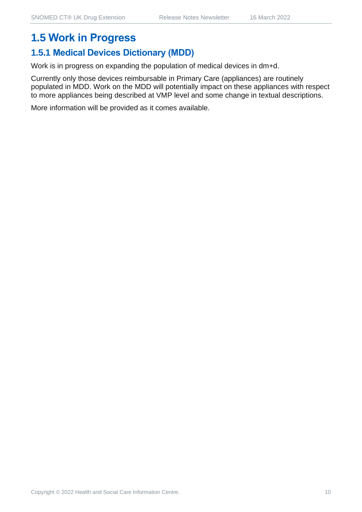## **1.5 Work in Progress**

## **1.5.1 Medical Devices Dictionary (MDD)**

Work is in progress on expanding the population of medical devices in dm+d.

Currently only those devices reimbursable in Primary Care (appliances) are routinely populated in MDD. Work on the MDD will potentially impact on these appliances with respect to more appliances being described at VMP level and some change in textual descriptions.

More information will be provided as it comes available.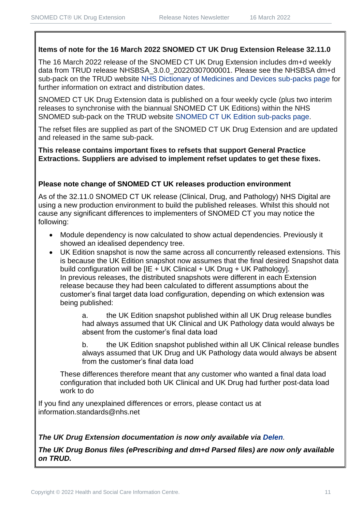#### **Items of note for the 16 March 2022 SNOMED CT UK Drug Extension Release 32.11.0**

The 16 March 2022 release of the SNOMED CT UK Drug Extension includes dm+d weekly data from TRUD release NHSBSA 3.0.0 20220307000001. Please see the NHSBSA dm+d sub-pack on the TRUD website [NHS Dictionary of Medicines and Devices sub-packs page](https://isd.digital.nhs.uk/trud3/user/guest/group/0/pack/6) for further information on extract and distribution dates.

SNOMED CT UK Drug Extension data is published on a four weekly cycle (plus two interim releases to synchronise with the biannual SNOMED CT UK Editions) within the NHS SNOMED sub-pack on the TRUD website [SNOMED CT UK Edition sub-packs page.](https://isd.digital.nhs.uk/trud3/user/guest/group/0/pack/26)

The refset files are supplied as part of the SNOMED CT UK Drug Extension and are updated and released in the same sub-pack.

**This release contains important fixes to refsets that support General Practice Extractions. Suppliers are advised to implement refset updates to get these fixes.** 

#### **Please note change of SNOMED CT UK releases production environment**

As of the 32.11.0 SNOMED CT UK release (Clinical, Drug, and Pathology) NHS Digital are using a new production environment to build the published releases. Whilst this should not cause any significant differences to implementers of SNOMED CT you may notice the following:

- Module dependency is now calculated to show actual dependencies. Previously it showed an idealised dependency tree.
- UK Edition snapshot is now the same across all concurrently released extensions. This is because the UK Edition snapshot now assumes that the final desired Snapshot data build configuration will be [IE + UK Clinical + UK Drug + UK Pathology]. In previous releases, the distributed snapshots were different in each Extension release because they had been calculated to different assumptions about the customer's final target data load configuration, depending on which extension was being published:

a. the UK Edition snapshot published within all UK Drug release bundles had always assumed that UK Clinical and UK Pathology data would always be absent from the customer's final data load

b. the UK Edition snapshot published within all UK Clinical release bundles always assumed that UK Drug and UK Pathology data would always be absent from the customer's final data load

These differences therefore meant that any customer who wanted a final data load configuration that included both UK Clinical and UK Drug had further post-data load work to do

If you find any unexplained differences or errors, please contact us at [information.standards@nhs.net](mailto:information.standards@nhs.net)

#### *The UK Drug Extension documentation is now only available via [Delen](https://hscic.kahootz.com/connect.ti/t_c_home/view?objectId=14540272).*

*The UK Drug Bonus files (ePrescribing and dm+d Parsed files) are now only available on TRUD.*